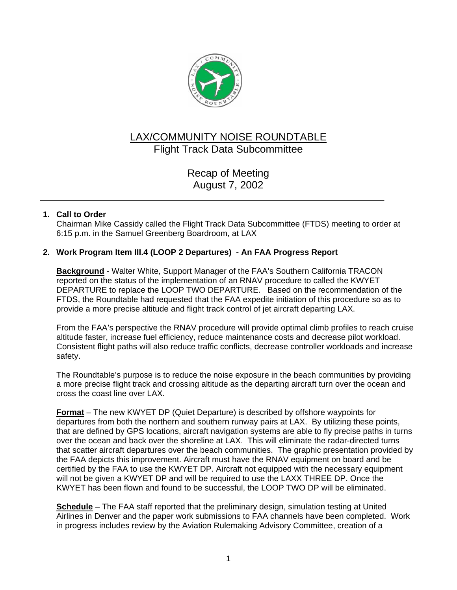

# LAX/COMMUNITY NOISE ROUNDTABLE Flight Track Data Subcommittee

Recap of Meeting August 7, 2002

# **1. Call to Order**

Chairman Mike Cassidy called the Flight Track Data Subcommittee (FTDS) meeting to order at 6:15 p.m. in the Samuel Greenberg Boardroom, at LAX

## **2. Work Program Item III.4 (LOOP 2 Departures) - An FAA Progress Report**

**Background** - Walter White, Support Manager of the FAA's Southern California TRACON reported on the status of the implementation of an RNAV procedure to called the KWYET DEPARTURE to replace the LOOP TWO DEPARTURE. Based on the recommendation of the FTDS, the Roundtable had requested that the FAA expedite initiation of this procedure so as to provide a more precise altitude and flight track control of jet aircraft departing LAX.

From the FAA's perspective the RNAV procedure will provide optimal climb profiles to reach cruise altitude faster, increase fuel efficiency, reduce maintenance costs and decrease pilot workload. Consistent flight paths will also reduce traffic conflicts, decrease controller workloads and increase safety.

The Roundtable's purpose is to reduce the noise exposure in the beach communities by providing a more precise flight track and crossing altitude as the departing aircraft turn over the ocean and cross the coast line over LAX.

**Format** – The new KWYET DP (Quiet Departure) is described by offshore waypoints for departures from both the northern and southern runway pairs at LAX. By utilizing these points, that are defined by GPS locations, aircraft navigation systems are able to fly precise paths in turns over the ocean and back over the shoreline at LAX. This will eliminate the radar-directed turns that scatter aircraft departures over the beach communities. The graphic presentation provided by the FAA depicts this improvement. Aircraft must have the RNAV equipment on board and be certified by the FAA to use the KWYET DP. Aircraft not equipped with the necessary equipment will not be given a KWYET DP and will be required to use the LAXX THREE DP. Once the KWYET has been flown and found to be successful, the LOOP TWO DP will be eliminated.

**Schedule** – The FAA staff reported that the preliminary design, simulation testing at United Airlines in Denver and the paper work submissions to FAA channels have been completed. Work in progress includes review by the Aviation Rulemaking Advisory Committee, creation of a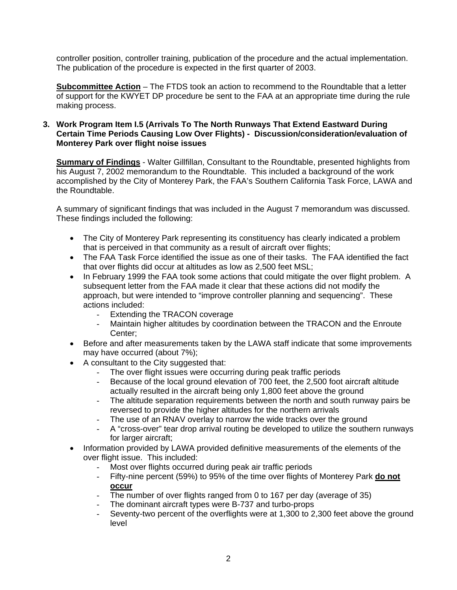controller position, controller training, publication of the procedure and the actual implementation. The publication of the procedure is expected in the first quarter of 2003.

**Subcommittee Action** – The FTDS took an action to recommend to the Roundtable that a letter of support for the KWYET DP procedure be sent to the FAA at an appropriate time during the rule making process.

#### **3. Work Program Item I.5 (Arrivals To The North Runways That Extend Eastward During Certain Time Periods Causing Low Over Flights) - Discussion/consideration/evaluation of Monterey Park over flight noise issues**

**Summary of Findings** - Walter Gillfillan, Consultant to the Roundtable, presented highlights from his August 7, 2002 memorandum to the Roundtable. This included a background of the work accomplished by the City of Monterey Park, the FAA's Southern California Task Force, LAWA and the Roundtable.

A summary of significant findings that was included in the August 7 memorandum was discussed. These findings included the following:

- The City of Monterey Park representing its constituency has clearly indicated a problem that is perceived in that community as a result of aircraft over flights;
- The FAA Task Force identified the issue as one of their tasks. The FAA identified the fact that over flights did occur at altitudes as low as 2,500 feet MSL;
- In February 1999 the FAA took some actions that could mitigate the over flight problem. A subsequent letter from the FAA made it clear that these actions did not modify the approach, but were intended to "improve controller planning and sequencing". These actions included:
	- Extending the TRACON coverage
	- Maintain higher altitudes by coordination between the TRACON and the Enroute Center;
- Before and after measurements taken by the LAWA staff indicate that some improvements may have occurred (about 7%);
- A consultant to the City suggested that:
	- The over flight issues were occurring during peak traffic periods
	- Because of the local ground elevation of 700 feet, the 2,500 foot aircraft altitude actually resulted in the aircraft being only 1,800 feet above the ground
	- The altitude separation requirements between the north and south runway pairs be reversed to provide the higher altitudes for the northern arrivals
	- The use of an RNAV overlay to narrow the wide tracks over the ground
	- A "cross-over" tear drop arrival routing be developed to utilize the southern runways for larger aircraft;
- Information provided by LAWA provided definitive measurements of the elements of the over flight issue. This included:
	- Most over flights occurred during peak air traffic periods
	- Fifty-nine percent (59%) to 95% of the time over flights of Monterey Park **do not occur**
	- The number of over flights ranged from 0 to 167 per day (average of 35)
	- The dominant aircraft types were B-737 and turbo-props
	- Seventy-two percent of the overflights were at 1,300 to 2,300 feet above the ground level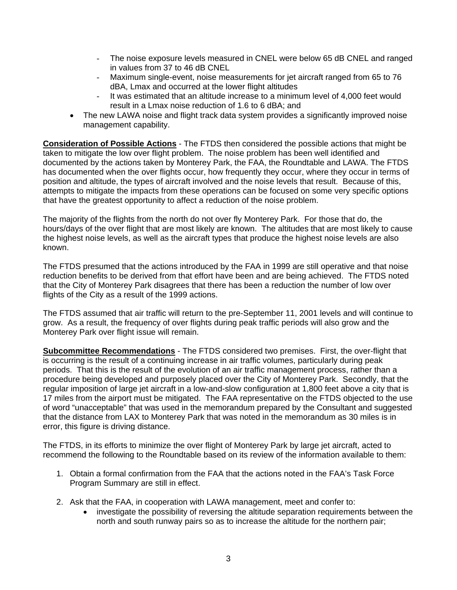- The noise exposure levels measured in CNEL were below 65 dB CNEL and ranged in values from 37 to 46 dB CNEL
- Maximum single-event, noise measurements for jet aircraft ranged from 65 to 76 dBA, Lmax and occurred at the lower flight altitudes
- It was estimated that an altitude increase to a minimum level of 4,000 feet would result in a Lmax noise reduction of 1.6 to 6 dBA; and
- The new LAWA noise and flight track data system provides a significantly improved noise management capability.

**Consideration of Possible Actions** - The FTDS then considered the possible actions that might be taken to mitigate the low over flight problem. The noise problem has been well identified and documented by the actions taken by Monterey Park, the FAA, the Roundtable and LAWA. The FTDS has documented when the over flights occur, how frequently they occur, where they occur in terms of position and altitude, the types of aircraft involved and the noise levels that result. Because of this, attempts to mitigate the impacts from these operations can be focused on some very specific options that have the greatest opportunity to affect a reduction of the noise problem.

The majority of the flights from the north do not over fly Monterey Park. For those that do, the hours/days of the over flight that are most likely are known. The altitudes that are most likely to cause the highest noise levels, as well as the aircraft types that produce the highest noise levels are also known.

The FTDS presumed that the actions introduced by the FAA in 1999 are still operative and that noise reduction benefits to be derived from that effort have been and are being achieved. The FTDS noted that the City of Monterey Park disagrees that there has been a reduction the number of low over flights of the City as a result of the 1999 actions.

The FTDS assumed that air traffic will return to the pre-September 11, 2001 levels and will continue to grow. As a result, the frequency of over flights during peak traffic periods will also grow and the Monterey Park over flight issue will remain.

**Subcommittee Recommendations** - The FTDS considered two premises. First, the over-flight that is occurring is the result of a continuing increase in air traffic volumes, particularly during peak periods. That this is the result of the evolution of an air traffic management process, rather than a procedure being developed and purposely placed over the City of Monterey Park. Secondly, that the regular imposition of large jet aircraft in a low-and-slow configuration at 1,800 feet above a city that is 17 miles from the airport must be mitigated. The FAA representative on the FTDS objected to the use of word "unacceptable" that was used in the memorandum prepared by the Consultant and suggested that the distance from LAX to Monterey Park that was noted in the memorandum as 30 miles is in error, this figure is driving distance.

The FTDS, in its efforts to minimize the over flight of Monterey Park by large jet aircraft, acted to recommend the following to the Roundtable based on its review of the information available to them:

- 1. Obtain a formal confirmation from the FAA that the actions noted in the FAA's Task Force Program Summary are still in effect.
- 2. Ask that the FAA, in cooperation with LAWA management, meet and confer to:
	- investigate the possibility of reversing the altitude separation requirements between the north and south runway pairs so as to increase the altitude for the northern pair;